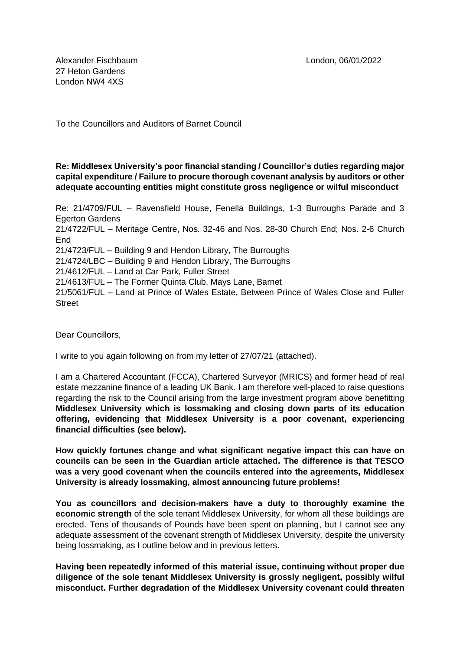Alexander Fischbaum London, 06/01/2022 27 Heton Gardens London NW4 4XS

To the Councillors and Auditors of Barnet Council

## **Re: Middlesex University's poor financial standing / Councillor's duties regarding major capital expenditure / Failure to procure thorough covenant analysis by auditors or other adequate accounting entities might constitute gross negligence or wilful misconduct**

Re: 21/4709/FUL – Ravensfield House, Fenella Buildings, 1-3 Burroughs Parade and 3 Egerton Gardens 21/4722/FUL – Meritage Centre, Nos. 32-46 and Nos. 28-30 Church End; Nos. 2-6 Church **End** 21/4723/FUL – Building 9 and Hendon Library, The Burroughs 21/4724/LBC – Building 9 and Hendon Library, The Burroughs 21/4612/FUL – Land at Car Park, Fuller Street 21/4613/FUL – The Former Quinta Club, Mays Lane, Barnet 21/5061/FUL – Land at Prince of Wales Estate, Between Prince of Wales Close and Fuller **Street** 

Dear Councillors,

I write to you again following on from my letter of 27/07/21 (attached).

I am a Chartered Accountant (FCCA), Chartered Surveyor (MRICS) and former head of real estate mezzanine finance of a leading UK Bank. I am therefore well-placed to raise questions regarding the risk to the Council arising from the large investment program above benefitting **Middlesex University which is lossmaking and closing down parts of its education offering, evidencing that Middlesex University is a poor covenant, experiencing financial difficulties (see below).**

**How quickly fortunes change and what significant negative impact this can have on councils can be seen in the Guardian article attached. The difference is that TESCO was a very good covenant when the councils entered into the agreements, Middlesex University is already lossmaking, almost announcing future problems!**

**You as councillors and decision-makers have a duty to thoroughly examine the economic strength** of the sole tenant Middlesex University, for whom all these buildings are erected. Tens of thousands of Pounds have been spent on planning, but I cannot see any adequate assessment of the covenant strength of Middlesex University, despite the university being lossmaking, as I outline below and in previous letters.

**Having been repeatedly informed of this material issue, continuing without proper due diligence of the sole tenant Middlesex University is grossly negligent, possibly wilful misconduct. Further degradation of the Middlesex University covenant could threaten**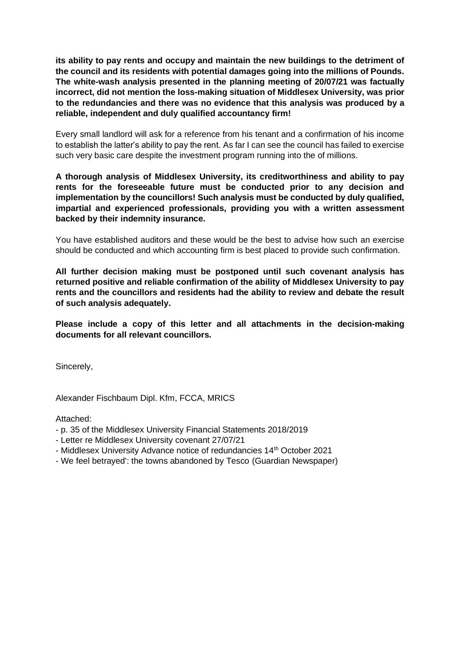**its ability to pay rents and occupy and maintain the new buildings to the detriment of the council and its residents with potential damages going into the millions of Pounds. The white-wash analysis presented in the planning meeting of 20/07/21 was factually incorrect, did not mention the loss-making situation of Middlesex University, was prior to the redundancies and there was no evidence that this analysis was produced by a reliable, independent and duly qualified accountancy firm!**

Every small landlord will ask for a reference from his tenant and a confirmation of his income to establish the latter's ability to pay the rent. As far I can see the council has failed to exercise such very basic care despite the investment program running into the of millions.

**A thorough analysis of Middlesex University, its creditworthiness and ability to pay rents for the foreseeable future must be conducted prior to any decision and implementation by the councillors! Such analysis must be conducted by duly qualified, impartial and experienced professionals, providing you with a written assessment backed by their indemnity insurance.**

You have established auditors and these would be the best to advise how such an exercise should be conducted and which accounting firm is best placed to provide such confirmation.

**All further decision making must be postponed until such covenant analysis has returned positive and reliable confirmation of the ability of Middlesex University to pay rents and the councillors and residents had the ability to review and debate the result of such analysis adequately.**

**Please include a copy of this letter and all attachments in the decision-making documents for all relevant councillors.**

Sincerely,

Alexander Fischbaum Dipl. Kfm, FCCA, MRICS

Attached:

- p. 35 of the Middlesex University Financial Statements 2018/2019
- Letter re Middlesex University covenant 27/07/21
- Middlesex University Advance notice of redundancies 14<sup>th</sup> October 2021
- We feel betrayed': the towns abandoned by Tesco (Guardian Newspaper)